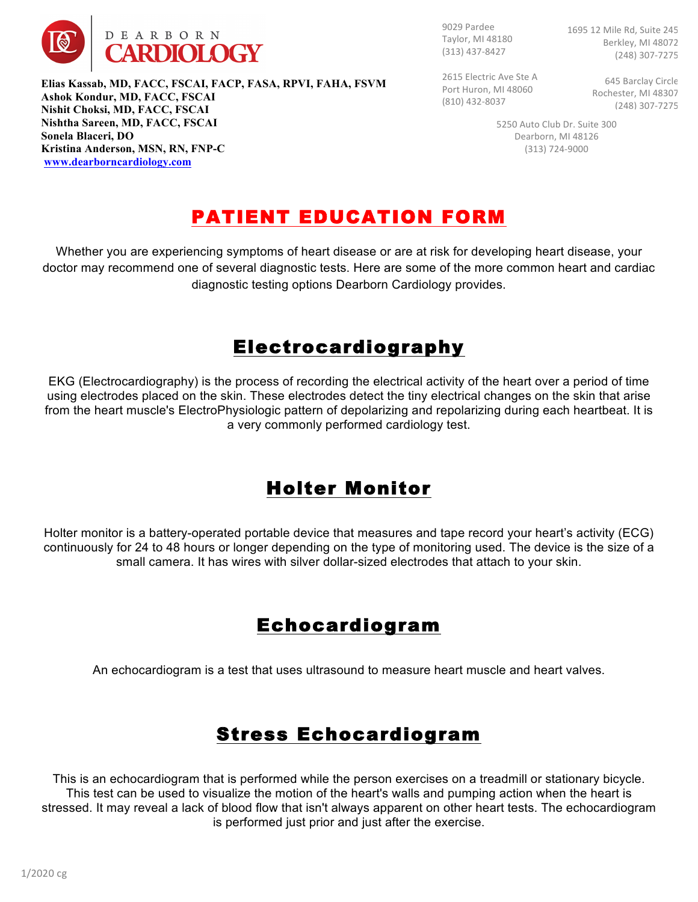

9029 Pardee Taylor, MI 48180 (313) 437-8427

1695 12 Mile Rd, Suite 245 Berkley, MI 48072 (248) 307-7275

2615 Electric Ave Ste A Port Huron, MI 48060 (810) 432-8037

645 Barclay Circle Rochester, MI 48307 (248) 307-7275

5250 Auto Club Dr. Suite 300 Dearborn, MI 48126 (313) 724-9000

# PATIENT EDUCATION FORM

Whether you are experiencing symptoms of heart disease or are at risk for developing heart disease, your doctor may recommend one of several diagnostic tests. Here are some of the more common heart and cardiac diagnostic testing options Dearborn Cardiology provides.

### **Electrocardiography**

EKG (Electrocardiography) is the process of recording the electrical activity of the heart over a period of time using electrodes placed on the skin. These electrodes detect the tiny electrical changes on the skin that arise from the heart muscle's ElectroPhysiologic pattern of depolarizing and repolarizing during each heartbeat. It is a very commonly performed cardiology test.

## Holter Monitor

Holter monitor is a battery-operated portable device that measures and tape record your heart's activity (ECG) continuously for 24 to 48 hours or longer depending on the type of monitoring used. The device is the size of a small camera. It has wires with silver dollar-sized electrodes that attach to your skin.

## Echocardiogram

An echocardiogram is a test that uses ultrasound to measure heart muscle and heart valves.

## Stress Echocardiogram

This is an echocardiogram that is performed while the person exercises on a treadmill or stationary bicycle. This test can be used to visualize the motion of the heart's walls and pumping action when the heart is stressed. It may reveal a lack of blood flow that isn't always apparent on other heart tests. The echocardiogram is performed just prior and just after the exercise.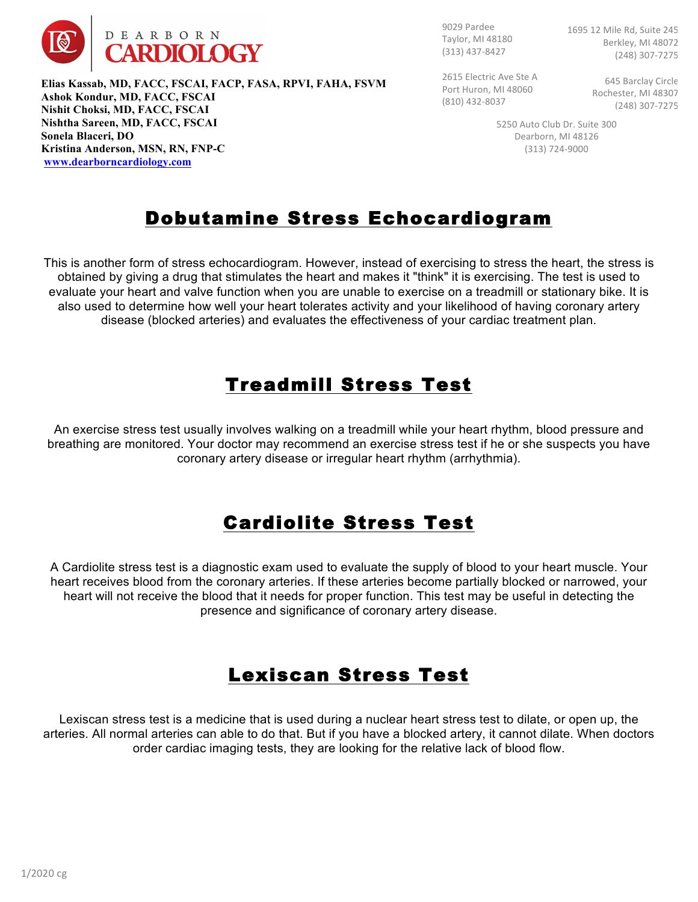

9029 Pardee Taylor, MI 48180 (313) 437-8427

1695 12 Mile Rd, Suite 245 Berkley, MI 48072 (248) 307-7275

2615 Electric Ave Ste A Port Huron, MI 48060 (810) 432-8037

**645 Barclay Circle** Rochester, MI 48307 (248) 307-7275

5250 Auto Club Dr. Suite 300 Dearborn, MI 48126 (313) 724-9000

## Dobutamine Stress Echocardiogram

This is another form of stress echocardiogram. However, instead of exercising to stress the heart, the stress is obtained by giving a drug that stimulates the heart and makes it "think" it is exercising. The test is used to evaluate your heart and valve function when you are unable to exercise on a treadmill or stationary bike. It is also used to determine how well your heart tolerates activity and your likelihood of having coronary artery disease (blocked arteries) and evaluates the effectiveness of your cardiac treatment plan.

### Treadmill Stress Test

An exercise stress test usually involves walking on a treadmill while your heart rhythm, blood pressure and breathing are monitored. Your doctor may recommend an exercise stress test if he or she suspects you have coronary artery disease or irregular heart rhythm (arrhythmia).

# Cardiolite Stress Test

A Cardiolite stress test is a diagnostic exam used to evaluate the supply of blood to your heart muscle. Your heart receives blood from the coronary arteries. If these arteries become partially blocked or narrowed, your heart will not receive the blood that it needs for proper function. This test may be useful in detecting the presence and significance of coronary artery disease.

## Lexiscan Stress Test

Lexiscan stress test is a medicine that is used during a nuclear heart stress test to dilate, or open up, the arteries. All normal arteries can able to do that. But if you have a blocked artery, it cannot dilate. When doctors order cardiac imaging tests, they are looking for the relative lack of blood flow.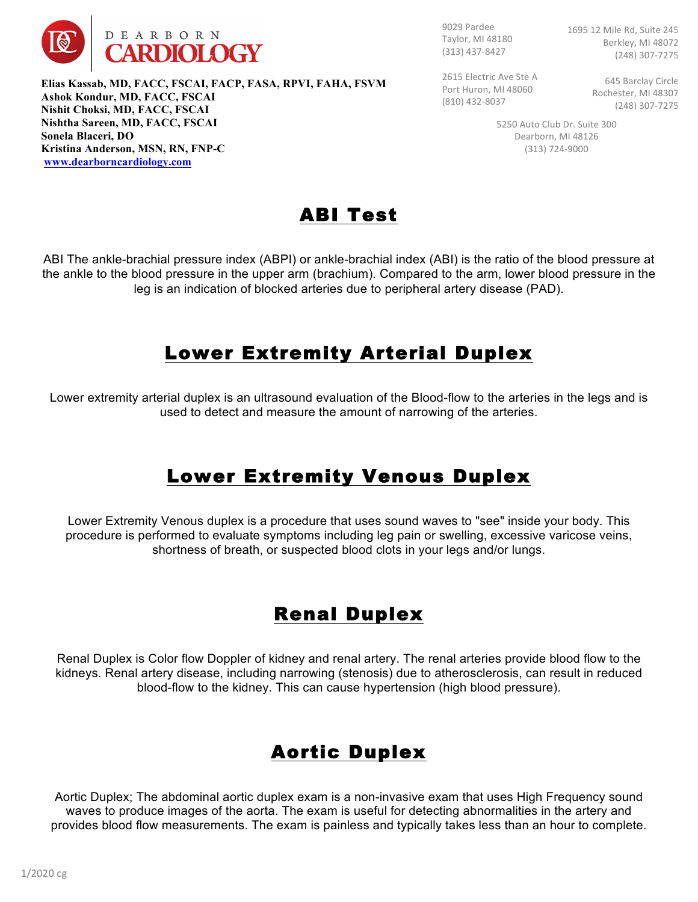

9029 Pardee Taylor, MI 48180 (313) 437-8427

1695 12 Mile Rd, Suite 245 Berkley, MI 48072 (248) 307-7275

2615 Electric Ave Ste A Port Huron, MI 48060 (810) 432-8037

**645 Barclay Circle** Rochester, MI 48307 (248) 307-7275

5250 Auto Club Dr. Suite 300 Dearborn, MI 48126 (313) 724-9000



ABI The ankle-brachial pressure index (ABPI) or ankle-brachial index (ABI) is the ratio of the blood pressure at the ankle to the blood pressure in the upper arm (brachium). Compared to the arm, lower blood pressure in the leg is an indication of blocked arteries due to peripheral artery disease (PAD).

### Lower Extremity Arterial Duplex

Lower extremity arterial duplex is an ultrasound evaluation of the Blood-flow to the arteries in the legs and is used to detect and measure the amount of narrowing of the arteries.

### Lower Extremity Venous Duplex

Lower Extremity Venous duplex is a procedure that uses sound waves to "see" inside your body. This procedure is performed to evaluate symptoms including leg pain or swelling, excessive varicose veins, shortness of breath, or suspected blood clots in your legs and/or lungs.

## Renal Duplex

Renal Duplex is Color flow Doppler of kidney and renal artery. The renal arteries provide blood flow to the kidneys. Renal artery disease, including narrowing (stenosis) due to atherosclerosis, can result in reduced blood-flow to the kidney. This can cause hypertension (high blood pressure).

# Aortic Duplex

Aortic Duplex; The abdominal aortic duplex exam is a non-invasive exam that uses High Frequency sound waves to produce images of the aorta. The exam is useful for detecting abnormalities in the artery and provides blood flow measurements. The exam is painless and typically takes less than an hour to complete.